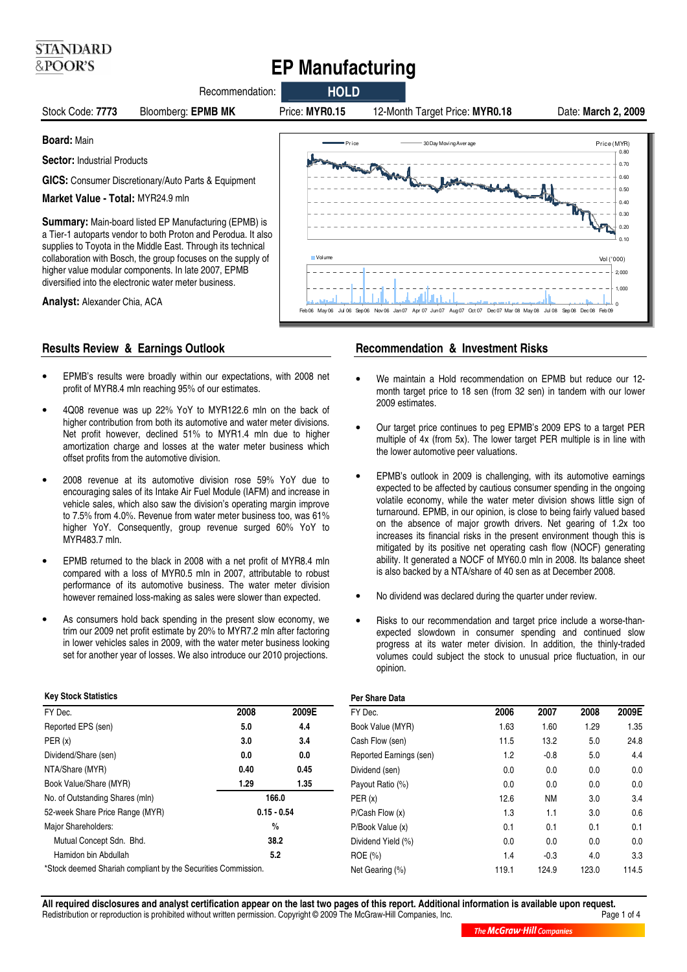# **EP Manufacturing**



## **Results Review & Earnings Outlook**

**STANDARD** &POOR'S

- EPMB's results were broadly within our expectations, with 2008 net profit of MYR8.4 mln reaching 95% of our estimates.
- 4Q08 revenue was up 22% YoY to MYR122.6 mln on the back of higher contribution from both its automotive and water meter divisions. Net profit however, declined 51% to MYR1.4 mln due to higher amortization charge and losses at the water meter business which offset profits from the automotive division.
- 2008 revenue at its automotive division rose 59% YoY due to encouraging sales of its Intake Air Fuel Module (IAFM) and increase in vehicle sales, which also saw the division's operating margin improve to 7.5% from 4.0%. Revenue from water meter business too, was 61% higher YoY. Consequently, group revenue surged 60% YoY to MYR483.7 mln.
- EPMB returned to the black in 2008 with a net profit of MYR8.4 mln compared with a loss of MYR0.5 mln in 2007, attributable to robust performance of its automotive business. The water meter division however remained loss-making as sales were slower than expected.
- As consumers hold back spending in the present slow economy, we trim our 2009 net profit estimate by 20% to MYR7.2 mln after factoring in lower vehicles sales in 2009, with the water meter business looking set for another year of losses. We also introduce our 2010 projections.

### **Recommendation & Investment Risks**

- We maintain a Hold recommendation on EPMB but reduce our 12 month target price to 18 sen (from 32 sen) in tandem with our lower 2009 estimates.
- Our target price continues to peg EPMB's 2009 EPS to a target PER multiple of 4x (from 5x). The lower target PER multiple is in line with the lower automotive peer valuations.
- EPMB's outlook in 2009 is challenging, with its automotive earnings expected to be affected by cautious consumer spending in the ongoing volatile economy, while the water meter division shows little sign of turnaround. EPMB, in our opinion, is close to being fairly valued based on the absence of major growth drivers. Net gearing of 1.2x too increases its financial risks in the present environment though this is mitigated by its positive net operating cash flow (NOCF) generating ability. It generated a NOCF of MY60.0 mln in 2008. Its balance sheet is also backed by a NTA/share of 40 sen as at December 2008.
- No dividend was declared during the quarter under review.
- Risks to our recommendation and target price include a worse-thanexpected slowdown in consumer spending and continued slow progress at its water meter division. In addition, the thinly-traded volumes could subject the stock to unusual price fluctuation, in our opinion.

| <b>Key Stock Statistics</b>                                  |              |               |  |
|--------------------------------------------------------------|--------------|---------------|--|
| FY Dec.                                                      | 2008         | 2009E         |  |
| Reported EPS (sen)                                           | 5.0          | 4.4           |  |
| PER(x)                                                       | 3.0          | 3.4           |  |
| Dividend/Share (sen)                                         | 0.0          | 0.0           |  |
| NTA/Share (MYR)                                              | 0.40         | 0.45          |  |
| Book Value/Share (MYR)                                       | 1.29<br>1.35 |               |  |
| No. of Outstanding Shares (mln)                              |              | 166.0         |  |
| 52-week Share Price Range (MYR)                              |              | $0.15 - 0.54$ |  |
| Major Shareholders:                                          |              | $\frac{0}{0}$ |  |
| Mutual Concept Sdn. Bhd.                                     |              | 38.2          |  |
| Hamidon bin Abdullah                                         |              | 5.2           |  |
| *Stock deemed Shariah compliant by the Securities Commission |              |               |  |

\*Stock deemed Shariah compliant by the Securities Commission.

## **Per Share Data**

| . דער סוועוס            |       |           |       |       |
|-------------------------|-------|-----------|-------|-------|
| FY Dec.                 | 2006  | 2007      | 2008  | 2009E |
| Book Value (MYR)        | 1.63  | 1.60      | 1.29  | 1.35  |
| Cash Flow (sen)         | 11.5  | 13.2      | 5.0   | 24.8  |
| Reported Earnings (sen) | 1.2   | $-0.8$    | 5.0   | 4.4   |
| Dividend (sen)          | 0.0   | 0.0       | 0.0   | 0.0   |
| Payout Ratio (%)        | 0.0   | 0.0       | 0.0   | 0.0   |
| PER(x)                  | 12.6  | <b>NM</b> | 3.0   | 3.4   |
| P/Cash Flow(x)          | 1.3   | 1.1       | 3.0   | 0.6   |
| P/Book Value (x)        | 0.1   | 0.1       | 0.1   | 0.1   |
| Dividend Yield (%)      | 0.0   | 0.0       | 0.0   | 0.0   |
| $ROE (\% )$             | 1.4   | $-0.3$    | 4.0   | 3.3   |
| Net Gearing (%)         | 119.1 | 124.9     | 123.0 | 114.5 |
|                         |       |           |       |       |

**All required disclosures and analyst certification appear on the last two pages of this report. Additional information is available upon request.** Redistribution or reproduction is prohibited without written permission. Copyright © 2009 The McGraw-Hill Companies, Inc.

The McGraw Hill Companies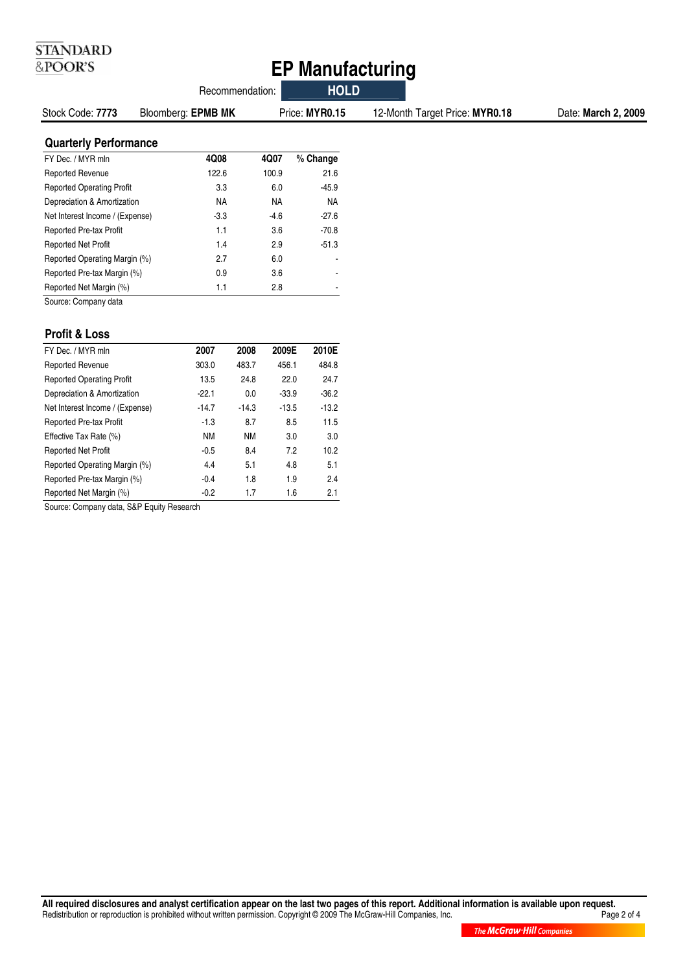## **EP Manufacturing**

|                                  |                    | Recommendation: |                | <b>HOLD</b>                    |                     |
|----------------------------------|--------------------|-----------------|----------------|--------------------------------|---------------------|
| Stock Code: 7773                 | Bloomberg: EPMB MK |                 | Price: MYR0.15 | 12-Month Target Price: MYR0.18 | Date: March 2, 2009 |
| <b>Quarterly Performance</b>     |                    |                 |                |                                |                     |
| FY Dec. / MYR mln                | 4Q08               | 4Q07            | % Change       |                                |                     |
| Reported Revenue                 | 122.6              | 100.9           | 21.6           |                                |                     |
| <b>Reported Operating Profit</b> | 3.3                | 6.0             | $-45.9$        |                                |                     |
| Depreciation & Amortization      | <b>NA</b>          | <b>NA</b>       | <b>NA</b>      |                                |                     |
| Net Interest Income / (Expense)  | $-3.3$             | $-4.6$          | $-27.6$        |                                |                     |
| Reported Pre-tax Profit          | 1.1                | 3.6             | $-70.8$        |                                |                     |
| <b>Reported Net Profit</b>       | 1.4                | 2.9             | $-51.3$        |                                |                     |
| Reported Operating Margin (%)    | 2.7                | 6.0             |                |                                |                     |
| Reported Pre-tax Margin (%)      | 0.9                | 3.6             |                |                                |                     |
| Reported Net Margin (%)          | 1.1                | 2.8             |                |                                |                     |

Source: Company data

## **Profit & Loss**

**STANDARD** &POOR'S

| FY Dec. / MYR mln                | 2007      | 2008      | 2009E   | 2010E   |
|----------------------------------|-----------|-----------|---------|---------|
| <b>Reported Revenue</b>          | 303.0     | 483.7     | 456.1   | 484.8   |
| <b>Reported Operating Profit</b> | 13.5      | 24.8      | 22.0    | 24.7    |
| Depreciation & Amortization      | $-22.1$   | 0.0       | $-33.9$ | $-36.2$ |
| Net Interest Income / (Expense)  | $-14.7$   | $-14.3$   | $-13.5$ | $-13.2$ |
| <b>Reported Pre-tax Profit</b>   | $-1.3$    | 8.7       | 8.5     | 11.5    |
| Effective Tax Rate (%)           | <b>NM</b> | <b>NM</b> | 3.0     | 3.0     |
| <b>Reported Net Profit</b>       | $-0.5$    | 8.4       | 7.2     | 10.2    |
| Reported Operating Margin (%)    | 4.4       | 5.1       | 4.8     | 5.1     |
| Reported Pre-tax Margin (%)      | $-0.4$    | 1.8       | 1.9     | 2.4     |
| Reported Net Margin (%)          | $-0.2$    | 1.7       | 1.6     | 2.1     |

Source: Company data, S&P Equity Research

All required disclosures and analyst certification appear on the last two pages of this report. Additional information is available upon request.<br>Redistribution or reproduction is prohibited without written permission. Cop Redistribution or reproduction is prohibited without written permission. Copyright © 2009 The McGraw-Hill Companies, Inc.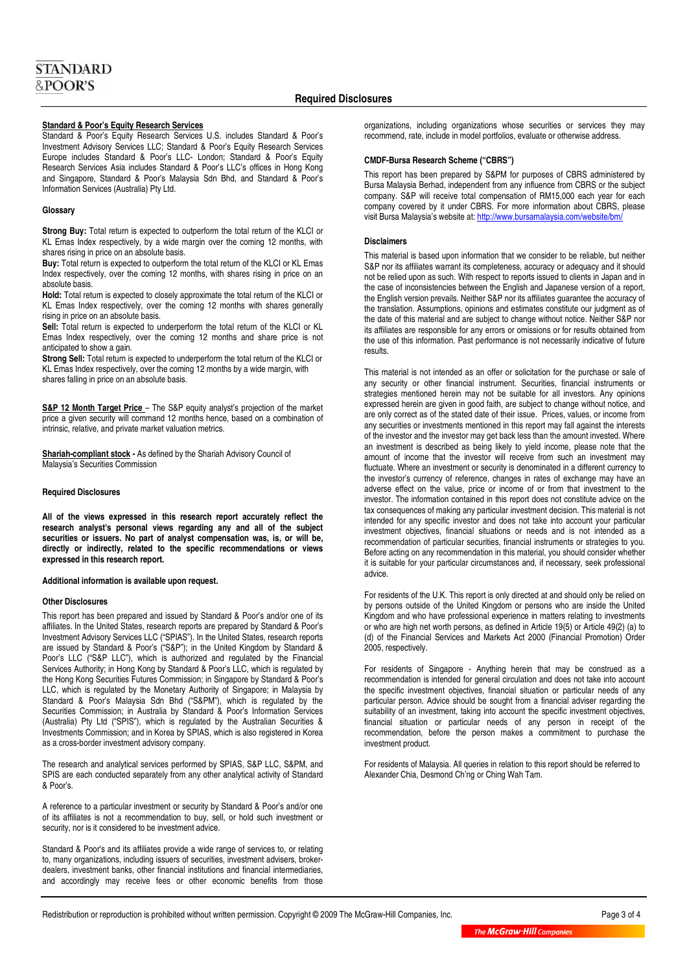#### **Standard & Poor's Equity Research Services**

Standard & Poor's Equity Research Services U.S. includes Standard & Poor's Investment Advisory Services LLC; Standard & Poor's Equity Research Services Europe includes Standard & Poor's LLC- London; Standard & Poor's Equity Research Services Asia includes Standard & Poor's LLC's offices in Hong Kong and Singapore, Standard & Poor's Malaysia Sdn Bhd, and Standard & Poor's Information Services (Australia) Pty Ltd.

#### **Glossary**

**Strong Buy:** Total return is expected to outperform the total return of the KLCI or KL Emas Index respectively, by a wide margin over the coming 12 months, with shares rising in price on an absolute basis.

**Buy:** Total return is expected to outperform the total return of the KLCI or KL Emas Index respectively, over the coming 12 months, with shares rising in price on an absolute basis.

**Hold:** Total return is expected to closely approximate the total return of the KLCI or KL Emas Index respectively, over the coming 12 months with shares generally rising in price on an absolute basis.

**Sell:** Total return is expected to underperform the total return of the KLCI or KL Emas Index respectively, over the coming 12 months and share price is not anticipated to show a gain.

**Strong Sell:** Total return is expected to underperform the total return of the KLCI or KL Emas Index respectively, over the coming 12 months by a wide margin, with shares falling in price on an absolute basis.

**S&P 12 Month Target Price** - The S&P equity analyst's projection of the market price a given security will command 12 months hence, based on a combination of intrinsic, relative, and private market valuation metrics.

**Shariah-compliant stock -** As defined by the Shariah Advisory Council of Malaysia's Securities Commission

#### **Required Disclosures**

**All of the views expressed in this research report accurately reflect the research analyst's personal views regarding any and all of the subject securities or issuers. No part of analyst compensation was, is, or will be, directly or indirectly, related to the specific recommendations or views expressed in this research report.** 

#### **Additional information is available upon request.**

#### **Other Disclosures**

This report has been prepared and issued by Standard & Poor's and/or one of its affiliates. In the United States, research reports are prepared by Standard & Poor's Investment Advisory Services LLC ("SPIAS"). In the United States, research reports are issued by Standard & Poor's ("S&P"); in the United Kingdom by Standard & Poor's LLC ("S&P LLC"), which is authorized and regulated by the Financial Services Authority; in Hong Kong by Standard & Poor's LLC, which is regulated by the Hong Kong Securities Futures Commission; in Singapore by Standard & Poor's LLC, which is regulated by the Monetary Authority of Singapore; in Malaysia by Standard & Poor's Malaysia Sdn Bhd ("S&PM"), which is regulated by the Securities Commission; in Australia by Standard & Poor's Information Services (Australia) Pty Ltd ("SPIS"), which is regulated by the Australian Securities & Investments Commission; and in Korea by SPIAS, which is also registered in Korea as a cross-border investment advisory company.

The research and analytical services performed by SPIAS, S&P LLC, S&PM, and SPIS are each conducted separately from any other analytical activity of Standard & Poor's.

A reference to a particular investment or security by Standard & Poor's and/or one of its affiliates is not a recommendation to buy, sell, or hold such investment or security, nor is it considered to be investment advice.

Standard & Poor's and its affiliates provide a wide range of services to, or relating to, many organizations, including issuers of securities, investment advisers, brokerdealers, investment banks, other financial institutions and financial intermediaries, and accordingly may receive fees or other economic benefits from those

organizations, including organizations whose securities or services they may recommend, rate, include in model portfolios, evaluate or otherwise address.

#### **CMDF-Bursa Research Scheme ("CBRS")**

This report has been prepared by S&PM for purposes of CBRS administered by Bursa Malaysia Berhad, independent from any influence from CBRS or the subject company. S&P will receive total compensation of RM15,000 each year for each company covered by it under CBRS. For more information about CBRS, please visit Bursa Malaysia's website at: http://www.bursamalaysia.com/website/bm/

#### **Disclaimers**

This material is based upon information that we consider to be reliable, but neither S&P nor its affiliates warrant its completeness, accuracy or adequacy and it should not be relied upon as such. With respect to reports issued to clients in Japan and in the case of inconsistencies between the English and Japanese version of a report, the English version prevails. Neither S&P nor its affiliates guarantee the accuracy of the translation. Assumptions, opinions and estimates constitute our judgment as of the date of this material and are subject to change without notice. Neither S&P nor its affiliates are responsible for any errors or omissions or for results obtained from the use of this information. Past performance is not necessarily indicative of future results.

This material is not intended as an offer or solicitation for the purchase or sale of any security or other financial instrument. Securities, financial instruments or strategies mentioned herein may not be suitable for all investors. Any opinions expressed herein are given in good faith, are subject to change without notice, and are only correct as of the stated date of their issue. Prices, values, or income from any securities or investments mentioned in this report may fall against the interests of the investor and the investor may get back less than the amount invested. Where an investment is described as being likely to yield income, please note that the amount of income that the investor will receive from such an investment may fluctuate. Where an investment or security is denominated in a different currency to the investor's currency of reference, changes in rates of exchange may have an adverse effect on the value, price or income of or from that investment to the investor. The information contained in this report does not constitute advice on the tax consequences of making any particular investment decision. This material is not intended for any specific investor and does not take into account your particular investment objectives, financial situations or needs and is not intended as a recommendation of particular securities, financial instruments or strategies to you. Before acting on any recommendation in this material, you should consider whether it is suitable for your particular circumstances and, if necessary, seek professional advice.

For residents of the U.K. This report is only directed at and should only be relied on by persons outside of the United Kingdom or persons who are inside the United Kingdom and who have professional experience in matters relating to investments or who are high net worth persons, as defined in Article 19(5) or Article 49(2) (a) to (d) of the Financial Services and Markets Act 2000 (Financial Promotion) Order 2005, respectively.

For residents of Singapore - Anything herein that may be construed as a recommendation is intended for general circulation and does not take into account the specific investment objectives, financial situation or particular needs of any particular person. Advice should be sought from a financial adviser regarding the suitability of an investment, taking into account the specific investment objectives, financial situation or particular needs of any person in receipt of the recommendation, before the person makes a commitment to purchase the investment product.

For residents of Malaysia. All queries in relation to this report should be referred to Alexander Chia, Desmond Ch'ng or Ching Wah Tam.